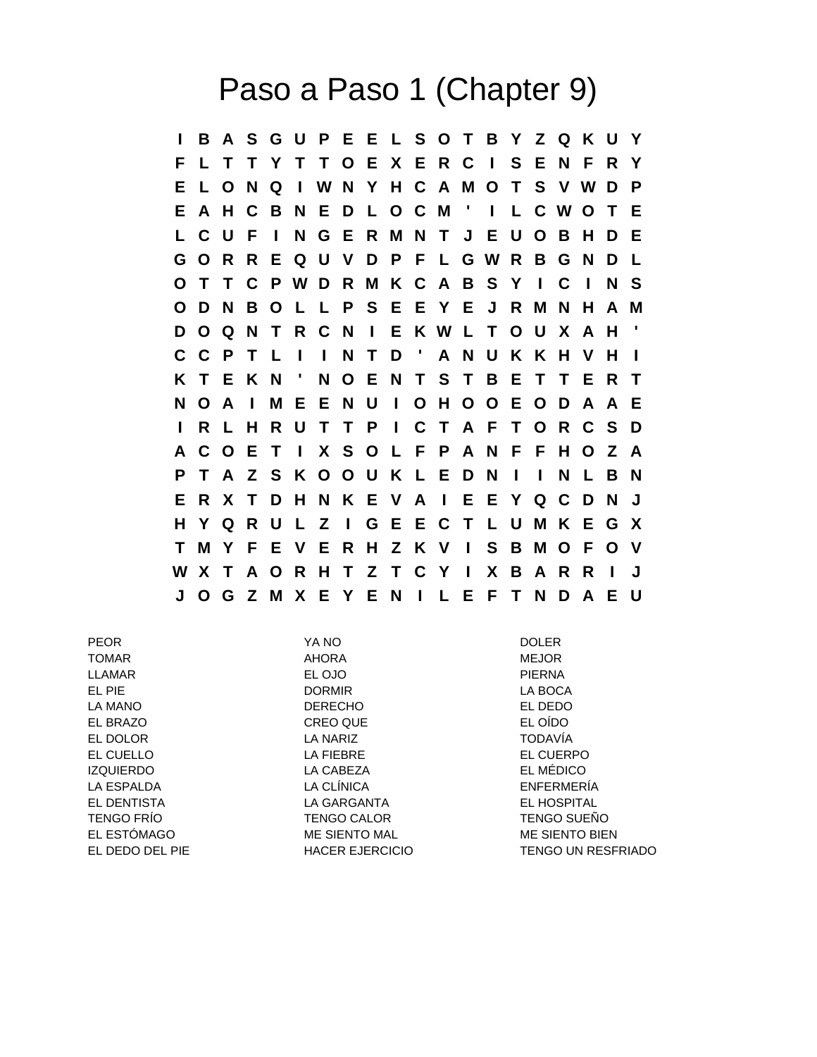## Paso a Paso 1 (Chapter 9)

**I B A S G U P E E L S O T B Y Z Q K U Y F L T T Y T T O E X E R C I S E N F R Y E L O N Q I W N Y H C A M O T S V W D P E A H C B N E D L O C M ' I L C W O T E L C U F I N G E R M N T J E U O B H D E G O R R E Q U V D P F L G W R B G N D L O T T C P W D R M K C A B S Y I C I N S O D N B O L L P S E E Y E J R M N H A M D O Q N T R C N I E K W L T O U X A H ' C C P T L I I N T D ' A N U K K H V H I K T E K N ' N O E N T S T B E T T E R T N O A I M E E N U I O H O O E O D A A E I R L H R U T T P I C T A F T O R C S D A C O E T I X S O L F P A N F F H O Z A P T A Z S K O O U K L E D N I I N L B N E R X T D H N K E V A I E E Y Q C D N J H Y Q R U L Z I G E E C T L U M K E G X T M Y F E V E R H Z K V I S B M O F O V W X T A O R H T Z T C Y I X B A R R I J J O G Z M X E Y E N I L E F T N D A E U**

PEOR YA NO DOLER TOMAR AHORA MEJOR LLAMAR EL OJO PIERNA EL PIE DORMIR LA BOCA LA MANO DERECHO DERECHO EL DEDO EL BRAZO CREO QUE EL OÍDO EL DOLOR LA NARIZ TODAVÍA EL CUELLO LA FIEBRE EL CUERPO IZQUIERDO LA CABEZA EL MÉDICO LA ESPALDA LA CLÍNICA ENFERMERÍA EL DENTISTA LA GARGANTA EL HOSPITAL TENGO FRÍO TENGO CALOR TENGO SUEÑO EL ESTÓMAGO **ME SIENTO MAL CONTRACTE DE SIENTO BIEN** EL DEDO DEL PIE HACER EJERCICIO TENGO UN RESFRIADO